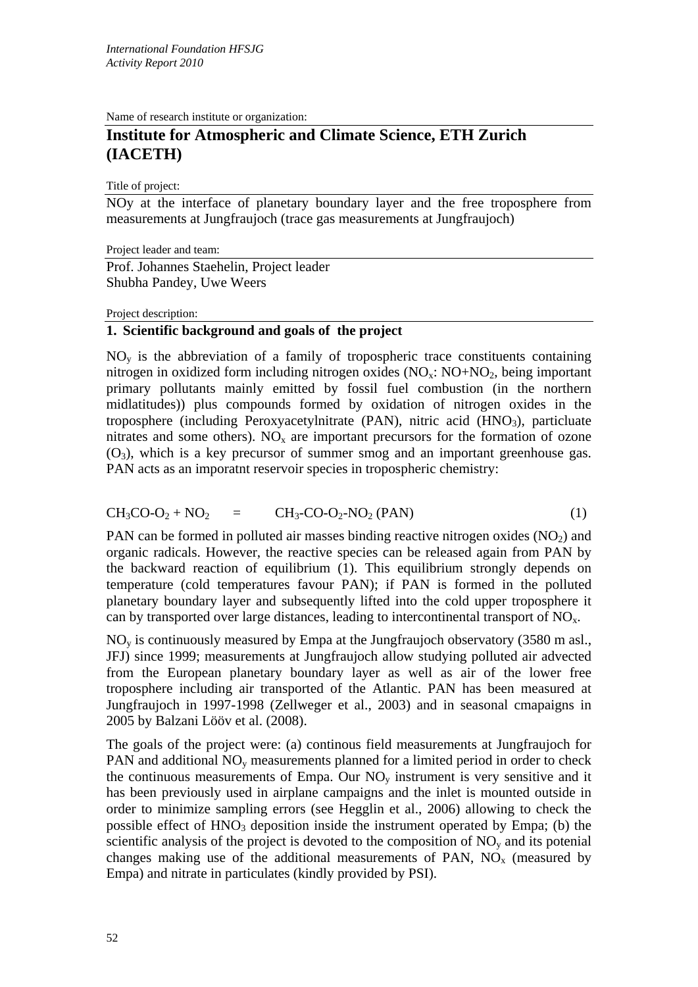Name of research institute or organization:

# **Institute for Atmospheric and Climate Science, ETH Zurich (IACETH)**

Title of project:

NOy at the interface of planetary boundary layer and the free troposphere from measurements at Jungfraujoch (trace gas measurements at Jungfraujoch)

Project leader and team: Prof. Johannes Staehelin, Project leader Shubha Pandey, Uwe Weers

#### Project description:

## **1. Scientific background and goals of the project**

 $NO<sub>v</sub>$  is the abbreviation of a family of tropospheric trace constituents containing nitrogen in oxidized form including nitrogen oxides  $(NO<sub>x</sub>: NO+NO<sub>2</sub>, being important)$ primary pollutants mainly emitted by fossil fuel combustion (in the northern midlatitudes)) plus compounds formed by oxidation of nitrogen oxides in the troposphere (including Peroxyacetylnitrate (PAN), nitric acid ( $HNO<sub>3</sub>$ ), particluate nitrates and some others).  $NO<sub>x</sub>$  are important precursors for the formation of ozone  $(O_3)$ , which is a key precursor of summer smog and an important greenhouse gas. PAN acts as an imporatnt reservoir species in tropospheric chemistry:

$$
CH3CO-O2 + NO2 = CH3-CO-O2-NO2 (PAN)
$$
 (1)

PAN can be formed in polluted air masses binding reactive nitrogen oxides  $(NO<sub>2</sub>)$  and organic radicals. However, the reactive species can be released again from PAN by the backward reaction of equilibrium (1). This equilibrium strongly depends on temperature (cold temperatures favour PAN); if PAN is formed in the polluted planetary boundary layer and subsequently lifted into the cold upper troposphere it can by transported over large distances, leading to intercontinental transport of  $NO<sub>x</sub>$ .

NOy is continuously measured by Empa at the Jungfraujoch observatory (3580 m asl., JFJ) since 1999; measurements at Jungfraujoch allow studying polluted air advected from the European planetary boundary layer as well as air of the lower free troposphere including air transported of the Atlantic. PAN has been measured at Jungfraujoch in 1997-1998 (Zellweger et al., 2003) and in seasonal cmapaigns in 2005 by Balzani Lööv et al. (2008).

The goals of the project were: (a) continous field measurements at Jungfraujoch for PAN and additional  $NO<sub>v</sub>$  measurements planned for a limited period in order to check the continuous measurements of Empa. Our  $NO<sub>v</sub>$  instrument is very sensitive and it has been previously used in airplane campaigns and the inlet is mounted outside in order to minimize sampling errors (see Hegglin et al., 2006) allowing to check the possible effect of  $HNO<sub>3</sub>$  deposition inside the instrument operated by Empa; (b) the scientific analysis of the project is devoted to the composition of  $NO<sub>v</sub>$  and its potenial changes making use of the additional measurements of PAN,  $NO<sub>x</sub>$  (measured by Empa) and nitrate in particulates (kindly provided by PSI).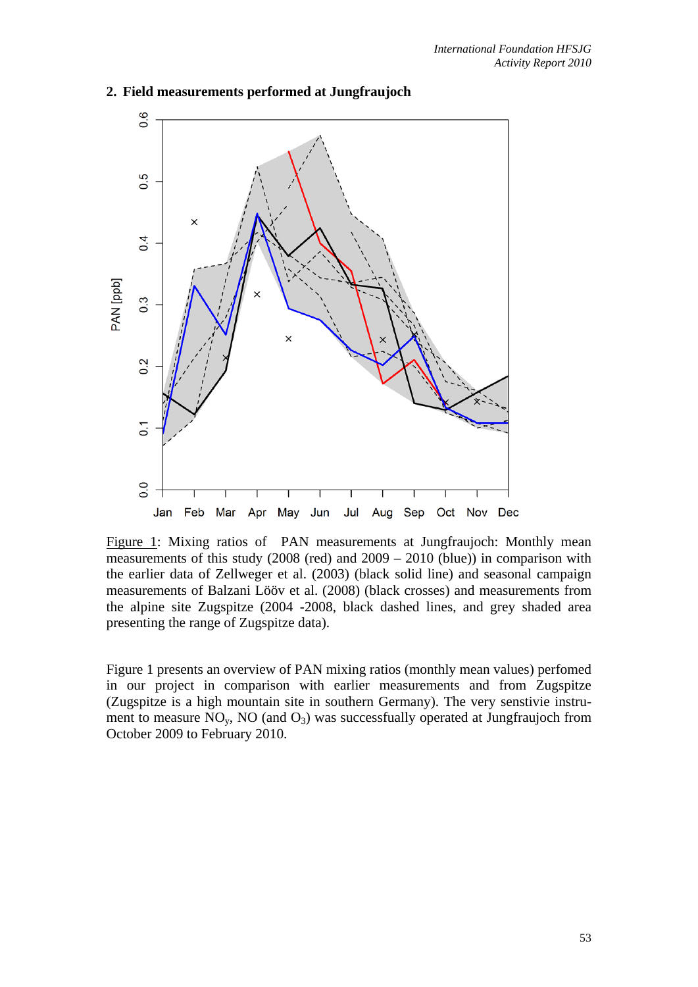

#### **2. Field measurements performed at Jungfraujoch**

Figure 1: Mixing ratios of PAN measurements at Jungfraujoch: Monthly mean measurements of this study (2008 (red) and 2009 – 2010 (blue)) in comparison with the earlier data of Zellweger et al. (2003) (black solid line) and seasonal campaign measurements of Balzani Lööv et al. (2008) (black crosses) and measurements from the alpine site Zugspitze (2004 -2008, black dashed lines, and grey shaded area presenting the range of Zugspitze data).

Figure 1 presents an overview of PAN mixing ratios (monthly mean values) perfomed in our project in comparison with earlier measurements and from Zugspitze (Zugspitze is a high mountain site in southern Germany). The very senstivie instrument to measure  $NO<sub>v</sub>$ ,  $NO$  (and  $O<sub>3</sub>$ ) was successfually operated at Jungfraujoch from October 2009 to February 2010.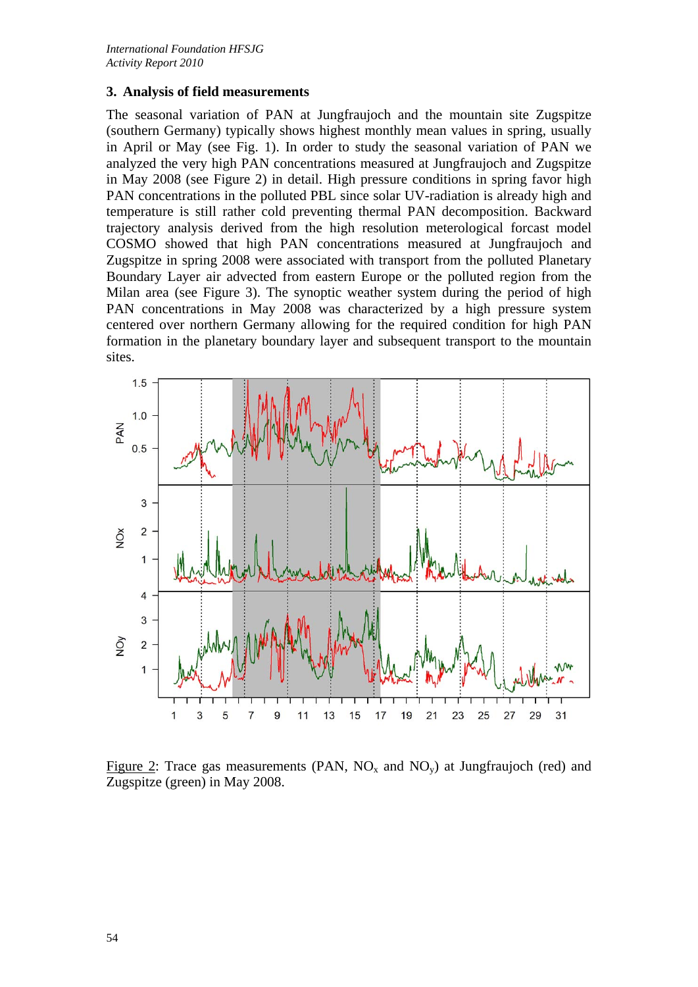#### **3. Analysis of field measurements**

The seasonal variation of PAN at Jungfraujoch and the mountain site Zugspitze (southern Germany) typically shows highest monthly mean values in spring, usually in April or May (see Fig. 1). In order to study the seasonal variation of PAN we analyzed the very high PAN concentrations measured at Jungfraujoch and Zugspitze in May 2008 (see Figure 2) in detail. High pressure conditions in spring favor high PAN concentrations in the polluted PBL since solar UV-radiation is already high and temperature is still rather cold preventing thermal PAN decomposition. Backward trajectory analysis derived from the high resolution meterological forcast model COSMO showed that high PAN concentrations measured at Jungfraujoch and Zugspitze in spring 2008 were associated with transport from the polluted Planetary Boundary Layer air advected from eastern Europe or the polluted region from the Milan area (see Figure 3). The synoptic weather system during the period of high PAN concentrations in May 2008 was characterized by a high pressure system centered over northern Germany allowing for the required condition for high PAN formation in the planetary boundary layer and subsequent transport to the mountain sites.



Figure 2: Trace gas measurements (PAN,  $NO_x$  and  $NO_y$ ) at Jungfraujoch (red) and Zugspitze (green) in May 2008.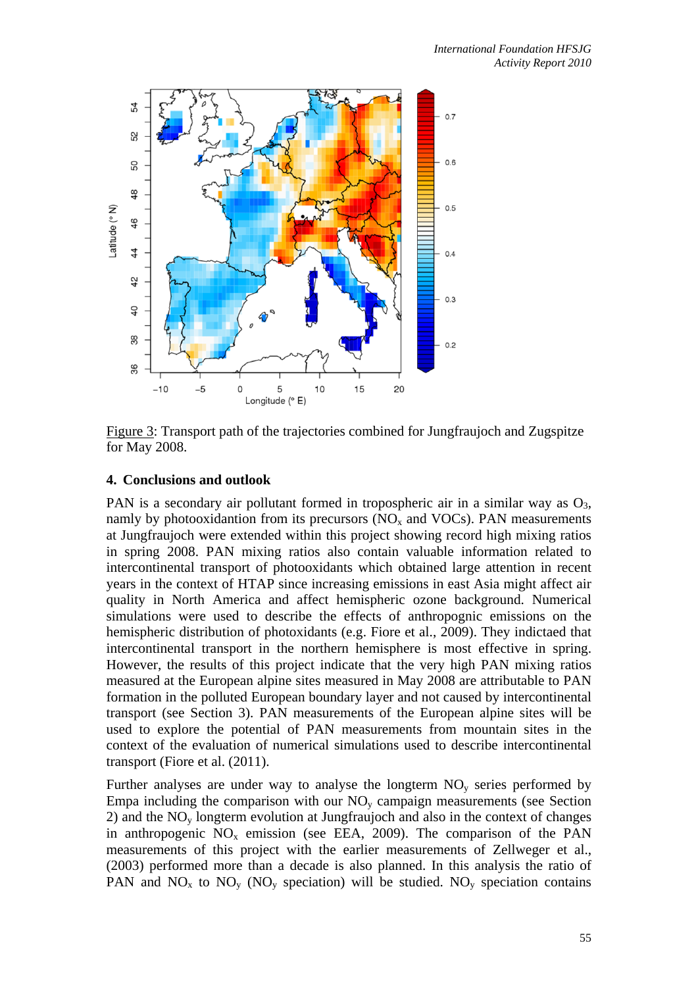

Figure 3: Transport path of the trajectories combined for Jungfraujoch and Zugspitze for May 2008.

## **4. Conclusions and outlook**

PAN is a secondary air pollutant formed in tropospheric air in a similar way as  $O_3$ , namly by photooxidantion from its precursors  $(NO<sub>x</sub>$  and  $VOCs)$ . PAN measurements at Jungfraujoch were extended within this project showing record high mixing ratios in spring 2008. PAN mixing ratios also contain valuable information related to intercontinental transport of photooxidants which obtained large attention in recent years in the context of HTAP since increasing emissions in east Asia might affect air quality in North America and affect hemispheric ozone background. Numerical simulations were used to describe the effects of anthropognic emissions on the hemispheric distribution of photoxidants (e.g. Fiore et al., 2009). They indictaed that intercontinental transport in the northern hemisphere is most effective in spring. However, the results of this project indicate that the very high PAN mixing ratios measured at the European alpine sites measured in May 2008 are attributable to PAN formation in the polluted European boundary layer and not caused by intercontinental transport (see Section 3). PAN measurements of the European alpine sites will be used to explore the potential of PAN measurements from mountain sites in the context of the evaluation of numerical simulations used to describe intercontinental transport (Fiore et al. (2011).

Further analyses are under way to analyse the longterm NOy series performed by Empa including the comparison with our  $NO<sub>v</sub>$  campaign measurements (see Section 2) and the  $NO<sub>v</sub>$  longterm evolution at Jungfraujoch and also in the context of changes in anthropogenic  $NO_x$  emission (see EEA, 2009). The comparison of the PAN measurements of this project with the earlier measurements of Zellweger et al., (2003) performed more than a decade is also planned. In this analysis the ratio of PAN and  $NO_x$  to  $NO_y$  ( $NO_y$  speciation) will be studied.  $NO_y$  speciation contains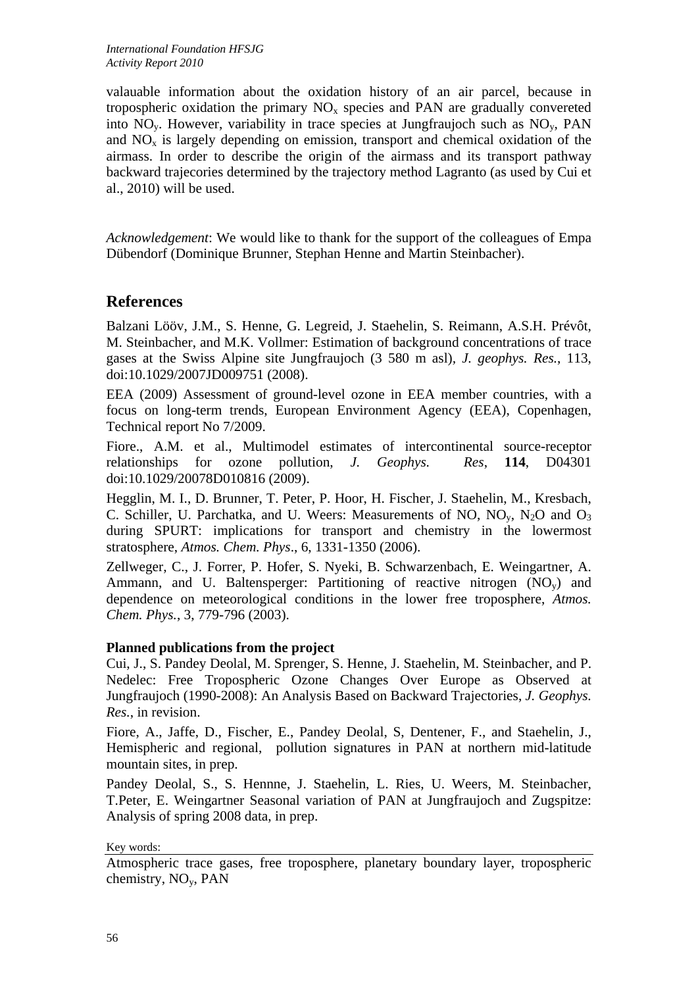valauable information about the oxidation history of an air parcel, because in tropospheric oxidation the primary  $NO<sub>x</sub>$  species and PAN are gradually convereted into  $NO<sub>v</sub>$ . However, variability in trace species at Jungfraujoch such as  $NO<sub>v</sub>$ , PAN and  $NO<sub>x</sub>$  is largely depending on emission, transport and chemical oxidation of the airmass. In order to describe the origin of the airmass and its transport pathway backward trajecories determined by the trajectory method Lagranto (as used by Cui et al., 2010) will be used.

*Acknowledgement*: We would like to thank for the support of the colleagues of Empa Dübendorf (Dominique Brunner, Stephan Henne and Martin Steinbacher).

# **References**

Balzani Lööv, J.M., S. Henne, G. Legreid, J. Staehelin, S. Reimann, A.S.H. Prévôt, M. Steinbacher, and M.K. Vollmer: Estimation of background concentrations of trace gases at the Swiss Alpine site Jungfraujoch (3 580 m asl)*, J. geophys. Res.*, 113, doi:10.1029/2007JD009751 (2008).

EEA (2009) Assessment of ground-level ozone in EEA member countries, with a focus on long-term trends, European Environment Agency (EEA), Copenhagen, Technical report No 7/2009.

Fiore., A.M. et al., Multimodel estimates of intercontinental source-receptor relationships for ozone pollution, *J. Geophys. Res*, **114**, D04301 doi:10.1029/20078D010816 (2009).

Hegglin, M. I., D. Brunner, T. Peter, P. Hoor, H. Fischer, J. Staehelin, M., Kresbach, C. Schiller, U. Parchatka, and U. Weers: Measurements of NO,  $NO<sub>y</sub>$ ,  $N<sub>2</sub>O$  and  $O<sub>3</sub>$ during SPURT: implications for transport and chemistry in the lowermost stratosphere, *Atmos. Chem. Phys*., 6, 1331-1350 (2006).

Zellweger, C., J. Forrer, P. Hofer, S. Nyeki, B. Schwarzenbach, E. Weingartner, A. Ammann, and U. Baltensperger: Partitioning of reactive nitrogen  $(NO<sub>v</sub>)$  and dependence on meteorological conditions in the lower free troposphere, *Atmos. Chem. Phys.*, 3, 779-796 (2003).

## **Planned publications from the project**

Cui, J., S. Pandey Deolal, M. Sprenger, S. Henne, J. Staehelin, M. Steinbacher, and P. Nedelec: Free Tropospheric Ozone Changes Over Europe as Observed at Jungfraujoch (1990-2008): An Analysis Based on Backward Trajectories, *J. Geophys. Res.*, in revision.

Fiore, A., Jaffe, D., Fischer, E., Pandey Deolal, S, Dentener, F., and Staehelin, J., Hemispheric and regional, pollution signatures in PAN at northern mid-latitude mountain sites, in prep.

Pandey Deolal, S., S. Hennne, J. Staehelin, L. Ries, U. Weers, M. Steinbacher, T.Peter, E. Weingartner Seasonal variation of PAN at Jungfraujoch and Zugspitze: Analysis of spring 2008 data, in prep.

Key words:

Atmospheric trace gases, free troposphere, planetary boundary layer, tropospheric chemistry, NOy, PAN